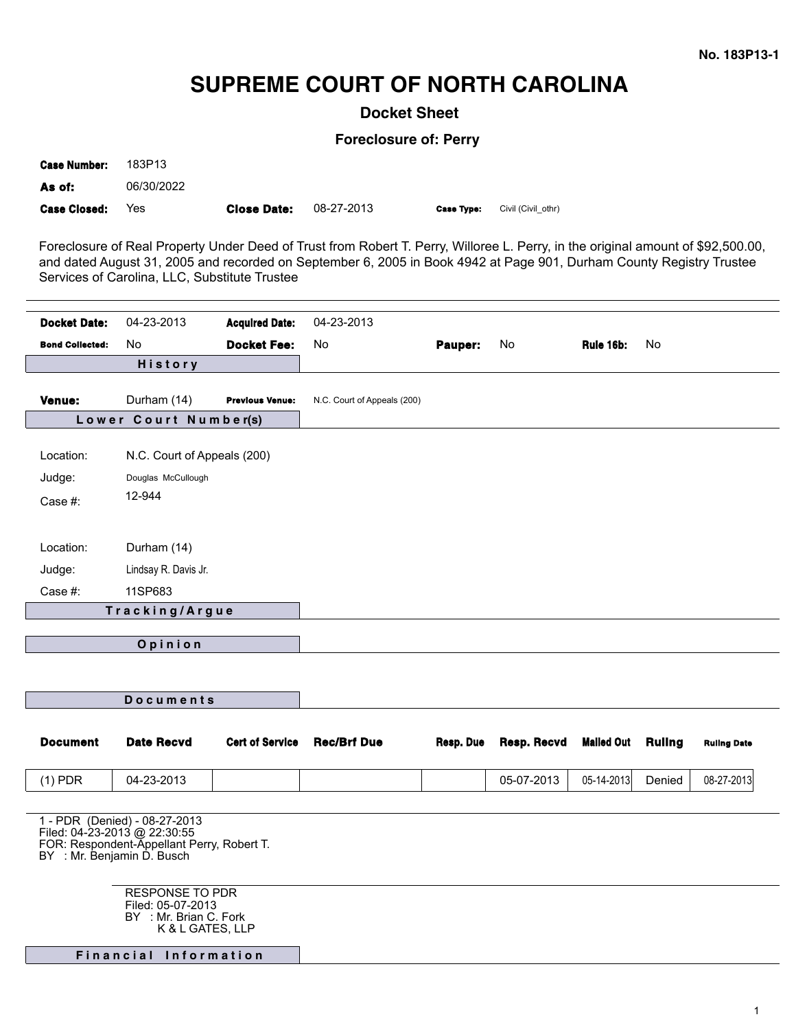## **SUPREME COURT OF NORTH CAROLINA**

**Docket Sheet**

**Foreclosure of: Perry**

| <b>Case Number:</b> | 183P13     |                    |            |                   |                    |
|---------------------|------------|--------------------|------------|-------------------|--------------------|
| As of:              | 06/30/2022 |                    |            |                   |                    |
| <b>Case Closed:</b> | Yes        | <b>Close Date:</b> | 08-27-2013 | <b>Case Type:</b> | Civil (Civil othr) |

Foreclosure of Real Property Under Deed of Trust from Robert T. Perry, Willoree L. Perry, in the original amount of \$92,500.00, and dated August 31, 2005 and recorded on September 6, 2005 in Book 4942 at Page 901, Durham County Registry Trustee Services of Carolina, LLC, Substitute Trustee

| <b>Docket Date:</b>    | 04-23-2013                                                                                                                                | <b>Acquired Date:</b>  | 04-23-2013                  |           |             |                   |        |                    |
|------------------------|-------------------------------------------------------------------------------------------------------------------------------------------|------------------------|-----------------------------|-----------|-------------|-------------------|--------|--------------------|
| <b>Bond Collected:</b> | No.                                                                                                                                       | <b>Docket Fee:</b>     | No                          | Pauper:   | No          | Rule 16b:         | No     |                    |
| <b>History</b>         |                                                                                                                                           |                        |                             |           |             |                   |        |                    |
|                        |                                                                                                                                           |                        |                             |           |             |                   |        |                    |
| Venue:                 | Durham (14)                                                                                                                               | <b>Previous Venue:</b> | N.C. Court of Appeals (200) |           |             |                   |        |                    |
|                        | Lower Court Number(s)                                                                                                                     |                        |                             |           |             |                   |        |                    |
| Location:              | N.C. Court of Appeals (200)                                                                                                               |                        |                             |           |             |                   |        |                    |
| Judge:                 | Douglas McCullough                                                                                                                        |                        |                             |           |             |                   |        |                    |
| Case #:                | 12-944                                                                                                                                    |                        |                             |           |             |                   |        |                    |
|                        |                                                                                                                                           |                        |                             |           |             |                   |        |                    |
|                        |                                                                                                                                           |                        |                             |           |             |                   |        |                    |
| Location:              | Durham (14)                                                                                                                               |                        |                             |           |             |                   |        |                    |
| Judge:                 | Lindsay R. Davis Jr.                                                                                                                      |                        |                             |           |             |                   |        |                    |
| Case #:                | 11SP683                                                                                                                                   |                        |                             |           |             |                   |        |                    |
| Tracking/Argue         |                                                                                                                                           |                        |                             |           |             |                   |        |                    |
| Opinion                |                                                                                                                                           |                        |                             |           |             |                   |        |                    |
|                        |                                                                                                                                           |                        |                             |           |             |                   |        |                    |
|                        |                                                                                                                                           |                        |                             |           |             |                   |        |                    |
| <b>Documents</b>       |                                                                                                                                           |                        |                             |           |             |                   |        |                    |
|                        |                                                                                                                                           |                        |                             |           |             |                   |        |                    |
| <b>Document</b>        | <b>Date Recvd</b>                                                                                                                         | <b>Cert of Service</b> | <b>Rec/Brf Due</b>          | Resp. Due | Resp. Recvd | <b>Mailed Out</b> | Ruling | <b>Ruling Date</b> |
| $(1)$ PDR              | 04-23-2013                                                                                                                                |                        |                             |           | 05-07-2013  | 05-14-2013        | Denied | 08-27-2013         |
|                        |                                                                                                                                           |                        |                             |           |             |                   |        |                    |
|                        | 1 - PDR (Denied) - 08-27-2013<br>Filed: 04-23-2013 @ 22:30:55<br>FOR: Respondent-Appellant Perry, Robert T.<br>BY : Mr. Benjamin D. Busch |                        |                             |           |             |                   |        |                    |
|                        | <b>RESPONSE TO PDR</b><br>Filed: 05-07-2013<br>BY : Mr. Brian C. Fork<br>K & L GATES, LLP<br>Financial Information                        |                        |                             |           |             |                   |        |                    |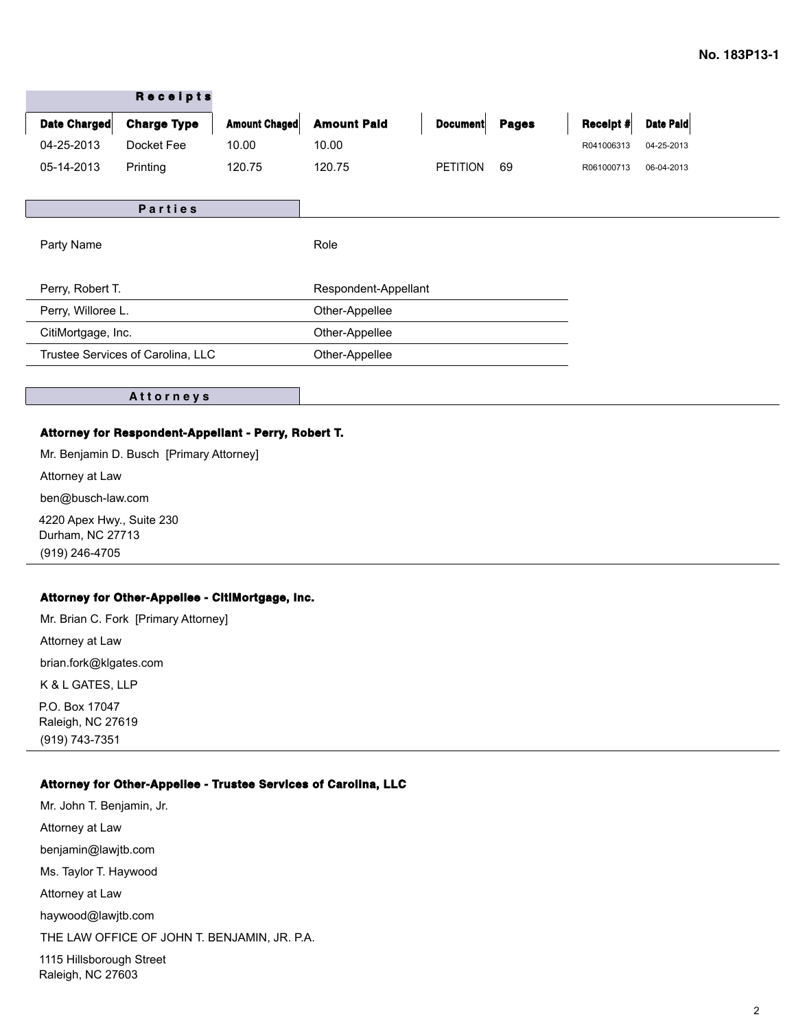| <b>Amount Paid</b><br><b>Amount Chaged</b><br>Date Charged<br><b>Charge Type</b><br><b>Pages</b><br><b>Document</b><br>Receipt #<br>04-25-2013<br>Docket Fee<br>10.00<br>10.00<br>R041006313<br><b>PETITION</b><br>05-14-2013<br>120.75<br>69<br>Printing<br>120.75<br>R061000713<br><b>Parties</b><br>Party Name<br>Role<br>Perry, Robert T.<br>Respondent-Appellant<br>Perry, Willoree L.<br>Other-Appellee<br>Other-Appellee<br>CitiMortgage, Inc. |  | <b>Receipts</b> |  |                |  |  |  |            |
|-------------------------------------------------------------------------------------------------------------------------------------------------------------------------------------------------------------------------------------------------------------------------------------------------------------------------------------------------------------------------------------------------------------------------------------------------------|--|-----------------|--|----------------|--|--|--|------------|
|                                                                                                                                                                                                                                                                                                                                                                                                                                                       |  |                 |  |                |  |  |  | Date Paid  |
|                                                                                                                                                                                                                                                                                                                                                                                                                                                       |  |                 |  |                |  |  |  | 04-25-2013 |
|                                                                                                                                                                                                                                                                                                                                                                                                                                                       |  |                 |  |                |  |  |  | 06-04-2013 |
|                                                                                                                                                                                                                                                                                                                                                                                                                                                       |  |                 |  |                |  |  |  |            |
|                                                                                                                                                                                                                                                                                                                                                                                                                                                       |  |                 |  |                |  |  |  |            |
|                                                                                                                                                                                                                                                                                                                                                                                                                                                       |  |                 |  |                |  |  |  |            |
|                                                                                                                                                                                                                                                                                                                                                                                                                                                       |  |                 |  |                |  |  |  |            |
|                                                                                                                                                                                                                                                                                                                                                                                                                                                       |  |                 |  |                |  |  |  |            |
|                                                                                                                                                                                                                                                                                                                                                                                                                                                       |  |                 |  |                |  |  |  |            |
| Trustee Services of Carolina, LLC                                                                                                                                                                                                                                                                                                                                                                                                                     |  |                 |  | Other-Appellee |  |  |  |            |

**A t t o r n e y s**

## **Attorney for Respondent-Appellant - Perry, Robert T.**

Mr. Benjamin D. Busch [Primary Attorney] Attorney at Law ben@busch-law.com 4220 Apex Hwy., Suite 230 Durham, NC 27713 (919) 246-4705

## **Attorney for Other-Appellee - CitiMortgage, Inc.**

Mr. Brian C. Fork [Primary Attorney] Attorney at Law brian.fork@klgates.com K & L GATES, LLP P.O. Box 17047 Raleigh, NC 27619 (919) 743-7351

## **Attorney for Other-Appellee - Trustee Services of Carolina, LLC**

Mr. John T. Benjamin, Jr. Attorney at Law benjamin@lawjtb.com Ms. Taylor T. Haywood Attorney at Law haywood@lawjtb.com THE LAW OFFICE OF JOHN T. BENJAMIN, JR. P.A. 1115 Hillsborough Street Raleigh, NC 27603